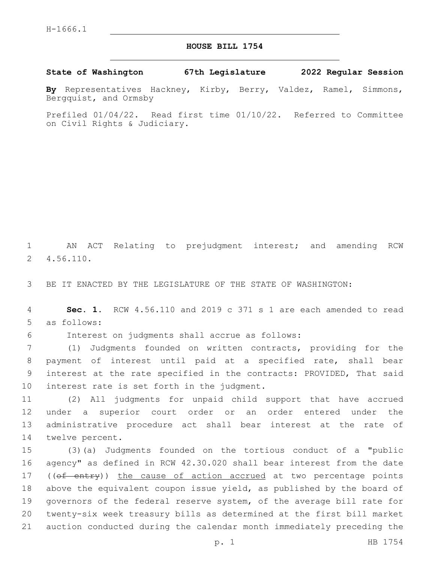## **HOUSE BILL 1754**

**State of Washington 67th Legislature 2022 Regular Session**

**By** Representatives Hackney, Kirby, Berry, Valdez, Ramel, Simmons, Bergquist, and Ormsby

Prefiled 01/04/22. Read first time 01/10/22. Referred to Committee on Civil Rights & Judiciary.

1 AN ACT Relating to prejudgment interest; and amending RCW 4.56.110.2

3 BE IT ENACTED BY THE LEGISLATURE OF THE STATE OF WASHINGTON:

4 **Sec. 1.** RCW 4.56.110 and 2019 c 371 s 1 are each amended to read 5 as follows:

Interest on judgments shall accrue as follows:6

 (1) Judgments founded on written contracts, providing for the payment of interest until paid at a specified rate, shall bear interest at the rate specified in the contracts: PROVIDED, That said 10 interest rate is set forth in the judgment.

 (2) All judgments for unpaid child support that have accrued under a superior court order or an order entered under the administrative procedure act shall bear interest at the rate of 14 twelve percent.

 (3)(a) Judgments founded on the tortious conduct of a "public agency" as defined in RCW 42.30.020 shall bear interest from the date 17 ((of entry)) the cause of action accrued at two percentage points above the equivalent coupon issue yield, as published by the board of governors of the federal reserve system, of the average bill rate for twenty-six week treasury bills as determined at the first bill market auction conducted during the calendar month immediately preceding the